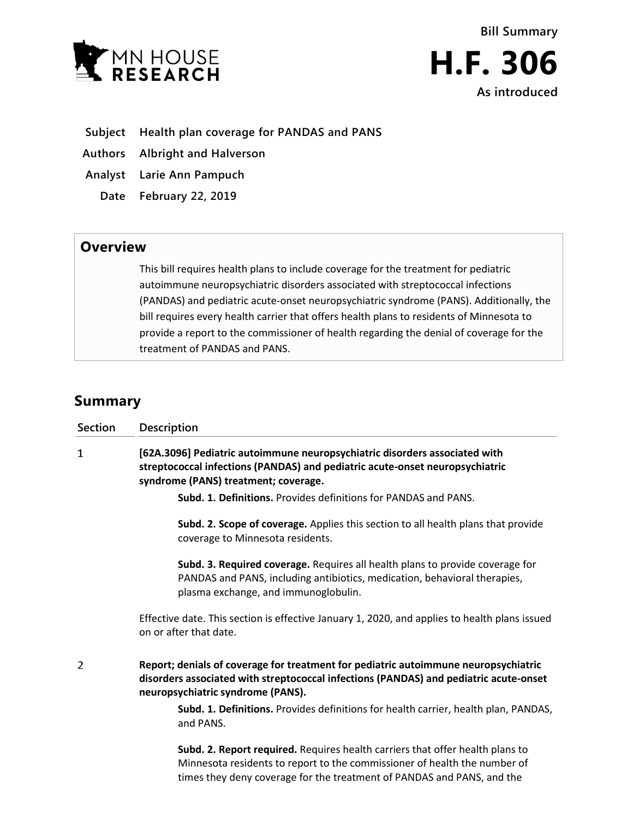

- **Subject Health plan coverage for PANDAS and PANS**
- **Authors Albright and Halverson**
- **Analyst Larie Ann Pampuch**
- **Date February 22, 2019**

## **Overview**

This bill requires health plans to include coverage for the treatment for pediatric autoimmune neuropsychiatric disorders associated with streptococcal infections (PANDAS) and pediatric acute-onset neuropsychiatric syndrome (PANS). Additionally, the bill requires every health carrier that offers health plans to residents of Minnesota to provide a report to the commissioner of health regarding the denial of coverage for the treatment of PANDAS and PANS.

## **Summary**

| <b>Section</b> | Description                                                                                                                                                                                                                          |
|----------------|--------------------------------------------------------------------------------------------------------------------------------------------------------------------------------------------------------------------------------------|
| 1              | [62A.3096] Pediatric autoimmune neuropsychiatric disorders associated with<br>streptococcal infections (PANDAS) and pediatric acute-onset neuropsychiatric<br>syndrome (PANS) treatment; coverage.                                   |
|                | Subd. 1. Definitions. Provides definitions for PANDAS and PANS.                                                                                                                                                                      |
|                | Subd. 2. Scope of coverage. Applies this section to all health plans that provide<br>coverage to Minnesota residents.                                                                                                                |
|                | Subd. 3. Required coverage. Requires all health plans to provide coverage for<br>PANDAS and PANS, including antibiotics, medication, behavioral therapies,<br>plasma exchange, and immunoglobulin.                                   |
|                | Effective date. This section is effective January 1, 2020, and applies to health plans issued<br>on or after that date.                                                                                                              |
| $\overline{2}$ | Report; denials of coverage for treatment for pediatric autoimmune neuropsychiatric<br>disorders associated with streptococcal infections (PANDAS) and pediatric acute-onset<br>neuropsychiatric syndrome (PANS).                    |
|                | Subd. 1. Definitions. Provides definitions for health carrier, health plan, PANDAS,<br>and PANS.                                                                                                                                     |
|                | Subd. 2. Report required. Requires health carriers that offer health plans to<br>Minnesota residents to report to the commissioner of health the number of<br>times they deny coverage for the treatment of PANDAS and PANS, and the |